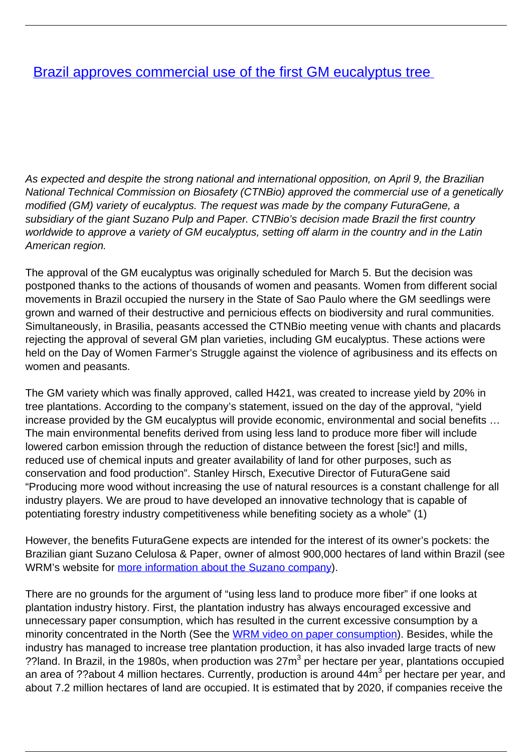## **[Brazil approves commercial use of the first GM eucalyptus tree](/bulletin-articles/brazil-approves-commercial-use-of-the-first-gm-eucalyptus-tree)**

As expected and despite the strong national and international opposition, on April 9, the Brazilian National Technical Commission on Biosafety (CTNBio) approved the commercial use of a genetically modified (GM) variety of eucalyptus. The request was made by the company FuturaGene, a subsidiary of the giant Suzano Pulp and Paper. CTNBio's decision made Brazil the first country worldwide to approve a variety of GM eucalyptus, setting off alarm in the country and in the Latin American region.

The approval of the GM eucalyptus was originally scheduled for March 5. But the decision was postponed thanks to the actions of thousands of women and peasants. Women from different social movements in Brazil occupied the nursery in the State of Sao Paulo where the GM seedlings were grown and warned of their destructive and pernicious effects on biodiversity and rural communities. Simultaneously, in Brasilia, peasants accessed the CTNBio meeting venue with chants and placards rejecting the approval of several GM plan varieties, including GM eucalyptus. These actions were held on the Day of Women Farmer's Struggle against the violence of agribusiness and its effects on women and peasants.

The GM variety which was finally approved, called H421, was created to increase yield by 20% in tree plantations. According to the company's statement, issued on the day of the approval, "yield increase provided by the GM eucalyptus will provide economic, environmental and social benefits … The main environmental benefits derived from using less land to produce more fiber will include lowered carbon emission through the reduction of distance between the forest [sic!] and mills, reduced use of chemical inputs and greater availability of land for other purposes, such as conservation and food production". Stanley Hirsch, Executive Director of FuturaGene said "Producing more wood without increasing the use of natural resources is a constant challenge for all industry players. We are proud to have developed an innovative technology that is capable of potentiating forestry industry competitiveness while benefiting society as a whole" (1)

However, the benefits FuturaGene expects are intended for the interest of its owner's pockets: the Brazilian giant Suzano Celulosa & Paper, owner of almost 900,000 hectares of land within Brazil (see WRM's website for [more information about the Suzano company](http://wrm.us9.list-manage.com/track/click?u=f91b651f7fecdf835b57dc11d&id=d80af883d9&e=0a9bf43b39)).

There are no grounds for the argument of "using less land to produce more fiber" if one looks at plantation industry history. First, the plantation industry has always encouraged excessive and unnecessary paper consumption, which has resulted in the current excessive consumption by a minority concentrated in the North (See the [WRM video on paper consumption\)](http://wrm.us9.list-manage2.com/track/click?u=f91b651f7fecdf835b57dc11d&id=cebc67881b&e=0a9bf43b39). Besides, while the industry has managed to increase tree plantation production, it has also invaded large tracts of new ??land. In Brazil, in the 1980s, when production was  $27m<sup>3</sup>$  per hectare per year, plantations occupied an area of ??about 4 million hectares. Currently, production is around 44m<sup>3</sup> per hectare per year, and about 7.2 million hectares of land are occupied. It is estimated that by 2020, if companies receive the